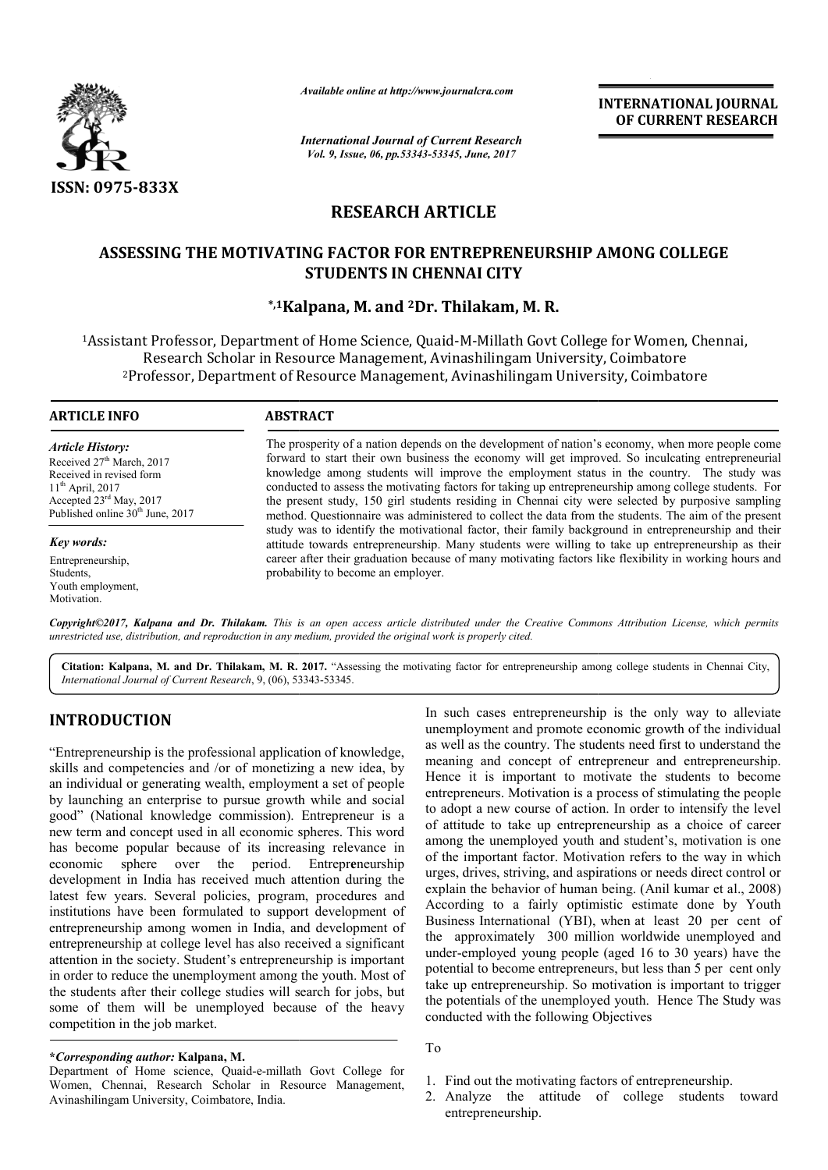

*Available online at http://www.journalcra.com*

*International Journal of Current Research Vol. 9, Issue, 06, pp.53343-53345, June, 2017*

**INTERNATIONAL JOURNAL OF CURRENT RESEARCH** 

# **RESEARCH ARTICLE**

# ASSESSING THE MOTIVATING FACTOR FOR ENTREPRENEURSHIP AMONG COLLEGE **STUDENTS IN CHENNAI CITY**

# **\*,1Kalpana Kalpana, M. and 2Dr. Thilakam, M. R.**

<sup>1</sup>Assistant Professor, Department of Home Science, Quaid-M-Millath Govt College for Women, Chennai, Research Scholar in Resource Management, Avinashilingam University, Coimbatore <sup>2</sup>Professor, Department of Resource Management, Avinashilingam University, Coimbatore

### **ARTICLE INFO ABSTRACT**

*Article History:* Received 27<sup>th</sup> March, 2017 Received in revised form 11th April, 2017 Accepted 23rd May, 2017 Published online  $30<sup>th</sup>$  June, 2017

*Key words:* Entrepreneurship, Students, Youth employment, Motivation.

The prosperity of a nation depends on the development of nation's economy, when more people come forward to start their own business the economy will get improved. So inculcating entrepreneurial knowledge among students will improve the employment status in the country. The study was conducted to assess the motivating factors for taking up entrepreneurship among college students. For the present study, 150 girl students residing in Chennai city were selected by purposive sampling method. Questionnaire was administered to collect the data from the students. The aim of the present study was to identify the motivational factor, their family background in entrepreneurship and their attitude towards entrepreneurship. Many students were willing to take up entrepreneurship as their attitude towards entrepreneurship. Many students were willing to take up entrepreneurship as their career after their graduation because of many motivating factors like flexibility in working hours and probability to become an employer. The prosperity of a nation depends on the development of nation's economy, when more people come forward to start their own business the economy will get improved. So inculcating entrepreneurial knowledge among students wi

Copyright©2017, Kalpana and Dr. Thilakam. This is an open access article distributed under the Creative Commons Attribution License, which permits *unrestricted use, distribution, and reproduction in any medium, provided the original work is properly cited.*

Citation: Kalpana, M. and Dr. Thilakam, M. R. 2017. "Assessing the motivating factor for entrepreneurship among college students in Chennai City, *International Journal of Current Research*, 9, (06), 53343 53343-53345.

# **INTRODUCTION**

"Entrepreneurship is the professional application of knowledge, skills and competencies and /or of monetizing a new idea, by an individual or generating wealth, employment a set of people by launching an enterprise to pursue growth while and social good" (National knowledge commission). National Entrepreneur is a new term and concept used in all economic spheres. This word has become popular because of its increasing relevance in economic sphere over the period. Entrepr**e**neurship development in India has received much attention during the latest few years. Several policies, program, procedures and institutions have been formulated to support development of entrepreneurship among women in India, and development of entrepreneurship at college level has also received a significant attention in the society. Student's entrepreneurship is important in order to reduce the unemployment among the youth. Most of the students after their college studies will search for jobs, but some of them will be unemployed because of the heavy competition in the job market.

## **\****Corresponding author:* **Kalpana, M.**

Department of Home science, Quaid-e-millath Govt College for Women, Chennai, Research Scholar in Resource Management, Avinashilingam University, Coimbatore, India.

In such cases entrepreneurship is the only way to alleviate unemployment and promote economic growth of the individual as well as the country. The students need first to understand the meaning and concept of entrepreneur and entrepreneurship. Hence it is important to motivate the students to become entrepreneurs. Motivation is a process of stimulating the people to adopt a new course of action. In order to intensify the level of attitude to take up entrepreneurship as a choice of career among the unemployed youth and student's, motivation is one of the important factor. Motivation refers to the way in which urges, drives, striving, and aspirat explain the behavior of human being. (Anil kumar et al., 2008) According to a fairly optimistic estimate done by Youth Business International (YBI), when at least 20 per cent of the approximately 300 million worldwide unemployed and under-employed young people (aged 16 to 30 years) have the potential to become entrepreneurs, but less than 5 per cent only take up entrepreneurship. So motivation is important to trigger the potentials of the unemployed youth. Hence Th conducted with the following Objectives In such cases entrepreneurship is the only way to alleviate unemployment and promote economic growth of the individual as well as the country. The students need first to understand the meaning and concept of entrepreneur a de to take up entrepreneurship as a choice of career<br>the unemployed youth and student's, motivation is one<br>mportant factor. Motivation refers to the way in which<br>lrives, striving, and aspirations or needs direct control or by optimistic estimate done by Youth<br>1 (YBI), when at least 20 per cent of<br>300 million worldwide unemployed and under-employed young people (aged 16 to 30 years) have the potential to become entrepreneurs, but less than 5 per cent only take up entrepreneurship. So motivation is important to trigger the potentials of the unemployed y **INTERNATIONAL JOURNAL**<br> **IDENTIFIENT (INTERNATIONAL JOURNAL COF CURRENT RESEARCH**<br> **Cof**<br> **Cof**<br> **Cof**<br> **Cof**<br> **Cof**<br> **Cof**<br> **Cof**<br> **Cof**<br> **Cof**<br> **Cof**<br> **Cof**<br> **Cof**<br> **Cof**<br> **Cof**<br> **Cof**<br> **Cof**<br> **Cof**<br> **Cof**<br> **Cof**<br> **Cof** 

- To
- 1. Find out the motivating factors of entrepreneurship.
- 2. Analyze the attitude of college students toward entrepreneurship.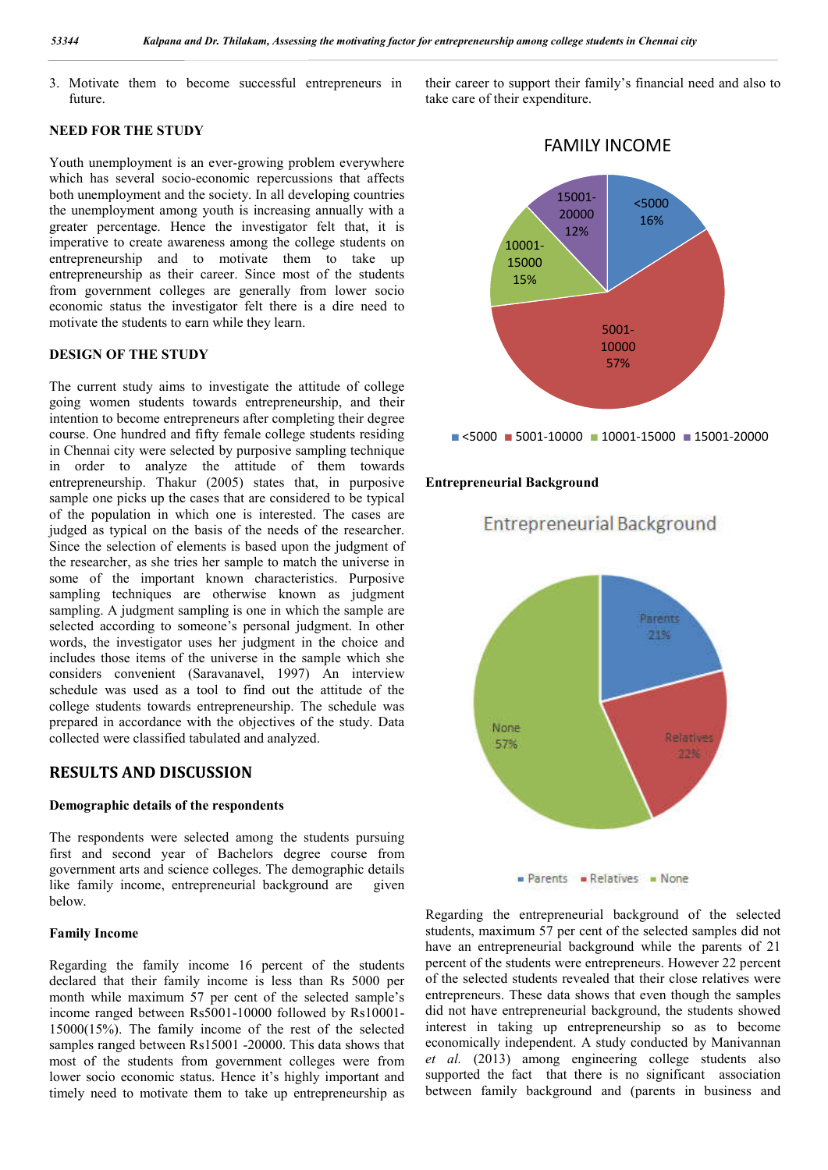3. Motivate them to become successful entrepreneurs in future.

# **NEED FOR THE STUDY**

Youth unemployment is an ever-growing problem everywhere which has several socio-economic repercussions that affects both unemployment and the society. In all developing countries the unemployment among youth is increasing annually with a greater percentage. Hence the investigator felt that, it is imperative to create awareness among the college students on entrepreneurship and to motivate them to take up entrepreneurship as their career. Since most of the students from government colleges are generally from lower socio economic status the investigator felt there is a dire need to motivate the students to earn while they learn.

#### **DESIGN OF THE STUDY**

The current study aims to investigate the attitude of college going women students towards entrepreneurship, and their intention to become entrepreneurs after completing their degree course. One hundred and fifty female college students residing in Chennai city were selected by purposive sampling technique in order to analyze the attitude of them towards entrepreneurship. Thakur (2005) states that, in purposive sample one picks up the cases that are considered to be typical of the population in which one is interested. The cases are judged as typical on the basis of the needs of the researcher. Since the selection of elements is based upon the judgment of the researcher, as she tries her sample to match the universe in some of the important known characteristics. Purposive sampling techniques are otherwise known as judgment sampling. A judgment sampling is one in which the sample are selected according to someone's personal judgment. In other words, the investigator uses her judgment in the choice and includes those items of the universe in the sample which she considers convenient (Saravanavel, 1997) An interview schedule was used as a tool to find out the attitude of the college students towards entrepreneurship. The schedule was prepared in accordance with the objectives of the study. Data collected were classified tabulated and analyzed.

## **RESULTS AND DISCUSSION**

#### **Demographic details of the respondents**

The respondents were selected among the students pursuing first and second year of Bachelors degree course from government arts and science colleges. The demographic details like family income, entrepreneurial background are given below.

#### **Family Income**

Regarding the family income 16 percent of the students declared that their family income is less than Rs 5000 per month while maximum 57 per cent of the selected sample's income ranged between Rs5001-10000 followed by Rs10001- 15000(15%). The family income of the rest of the selected samples ranged between Rs15001 -20000. This data shows that most of the students from government colleges were from lower socio economic status. Hence it's highly important and timely need to motivate them to take up entrepreneurship as

their career to support their family's financial need and also to take care of their expenditure.



 $\blacksquare$  <5000  $\blacksquare$  5001-10000  $\blacksquare$  10001-15000  $\blacksquare$  15001-20000

**Entrepreneurial Background** 

### **Entrepreneurial Background**



 $Parents = Relatives - None$ 

Regarding the entrepreneurial background of the selected students, maximum 57 per cent of the selected samples did not have an entrepreneurial background while the parents of 21 percent of the students were entrepreneurs. However 22 percent of the selected students revealed that their close relatives were entrepreneurs. These data shows that even though the samples did not have entrepreneurial background, the students showed interest in taking up entrepreneurship so as to become economically independent. A study conducted by Manivannan *et al.* (2013) among engineering college students also supported the fact that there is no significant association between family background and (parents in business and